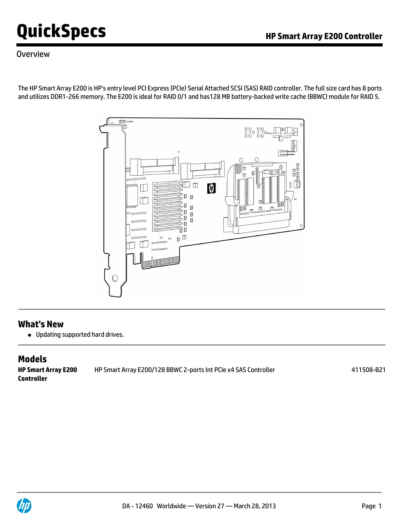### **Overview**

The HP Smart Array E200 is HP's entry level PCI Express (PCIe) Serial Attached SCSI (SAS) RAID controller. The full size card has 8 ports and utilizes DDR1-266 memory. The E200 is ideal for RAID 0/1 and has128 MB battery-backed write cache (BBWC) module for RAID 5.



### **What's New**

Updating supported hard drives.

# **Models**

**HP Smart Array E200 Controller** HP Smart Array E200/128 BBWC 2-ports Int PCIe x4 SAS Controller 411508-B21 411508-B21

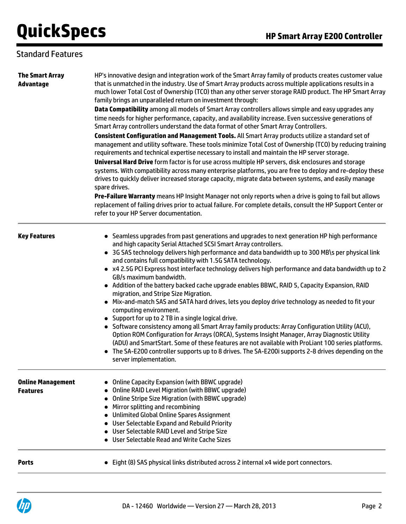### Standard Features

| <b>The Smart Array</b><br>Advantage         | HP's innovative design and integration work of the Smart Array family of products creates customer value<br>that is unmatched in the industry. Use of Smart Array products across multiple applications results in a<br>much lower Total Cost of Ownership (TCO) than any other server storage RAID product. The HP Smart Array<br>family brings an unparalleled return on investment through:                                                                                                                                                                                                                                                                                                                                                                                                                                                                                                                                                                                                                                                                                                                                                                                                                                                    |  |  |  |
|---------------------------------------------|---------------------------------------------------------------------------------------------------------------------------------------------------------------------------------------------------------------------------------------------------------------------------------------------------------------------------------------------------------------------------------------------------------------------------------------------------------------------------------------------------------------------------------------------------------------------------------------------------------------------------------------------------------------------------------------------------------------------------------------------------------------------------------------------------------------------------------------------------------------------------------------------------------------------------------------------------------------------------------------------------------------------------------------------------------------------------------------------------------------------------------------------------------------------------------------------------------------------------------------------------|--|--|--|
|                                             | Data Compatibility among all models of Smart Array controllers allows simple and easy upgrades any<br>time needs for higher performance, capacity, and availability increase. Even successive generations of<br>Smart Array controllers understand the data format of other Smart Array Controllers.                                                                                                                                                                                                                                                                                                                                                                                                                                                                                                                                                                                                                                                                                                                                                                                                                                                                                                                                              |  |  |  |
|                                             | Consistent Configuration and Management Tools. All Smart Array products utilize a standard set of<br>management and utility software. These tools minimize Total Cost of Ownership (TCO) by reducing training<br>requirements and technical expertise necessary to install and maintain the HP server storage.<br>Universal Hard Drive form factor is for use across multiple HP servers, disk enclosures and storage<br>systems. With compatibility across many enterprise platforms, you are free to deploy and re-deploy these<br>drives to quickly deliver increased storage capacity, migrate data between systems, and easily manage<br>spare drives.                                                                                                                                                                                                                                                                                                                                                                                                                                                                                                                                                                                       |  |  |  |
|                                             | Pre-Failure Warranty means HP Insight Manager not only reports when a drive is going to fail but allows<br>replacement of failing drives prior to actual failure. For complete details, consult the HP Support Center or<br>refer to your HP Server documentation.                                                                                                                                                                                                                                                                                                                                                                                                                                                                                                                                                                                                                                                                                                                                                                                                                                                                                                                                                                                |  |  |  |
| <b>Key Features</b>                         | • Seamless upgrades from past generations and upgrades to next generation HP high performance<br>and high capacity Serial Attached SCSI Smart Array controllers.<br>• 3G SAS technology delivers high performance and data bandwidth up to 300 MB\s per physical link<br>and contains full compatibility with 1.5G SATA technology.<br>• x4 2.5G PCI Express host interface technology delivers high performance and data bandwidth up to 2<br>GB/s maximum bandwidth.<br>• Addition of the battery backed cache upgrade enables BBWC, RAID 5, Capacity Expansion, RAID<br>migration, and Stripe Size Migration.<br>• Mix-and-match SAS and SATA hard drives, lets you deploy drive technology as needed to fit your<br>computing environment.<br>• Support for up to 2 TB in a single logical drive.<br>• Software consistency among all Smart Array family products: Array Configuration Utility (ACU),<br>Option ROM Configuration for Arrays (ORCA), Systems Insight Manager, Array Diagnostic Utility<br>(ADU) and SmartStart. Some of these features are not available with ProLiant 100 series platforms.<br>• The SA-E200 controller supports up to 8 drives. The SA-E200i supports 2-8 drives depending on the<br>server implementation. |  |  |  |
| <b>Online Management</b><br><b>Features</b> | <b>Online Capacity Expansion (with BBWC upgrade)</b><br>Online RAID Level Migration (with BBWC upgrade)<br>Online Stripe Size Migration (with BBWC upgrade)<br>Mirror splitting and recombining<br>Unlimited Global Online Spares Assignment<br>• User Selectable Expand and Rebuild Priority<br>• User Selectable RAID Level and Stripe Size<br>User Selectable Read and Write Cache Sizes                                                                                                                                                                                                                                                                                                                                                                                                                                                                                                                                                                                                                                                                                                                                                                                                                                                       |  |  |  |
| <b>Ports</b>                                | Eight (8) SAS physical links distributed across 2 internal x4 wide port connectors.                                                                                                                                                                                                                                                                                                                                                                                                                                                                                                                                                                                                                                                                                                                                                                                                                                                                                                                                                                                                                                                                                                                                                               |  |  |  |

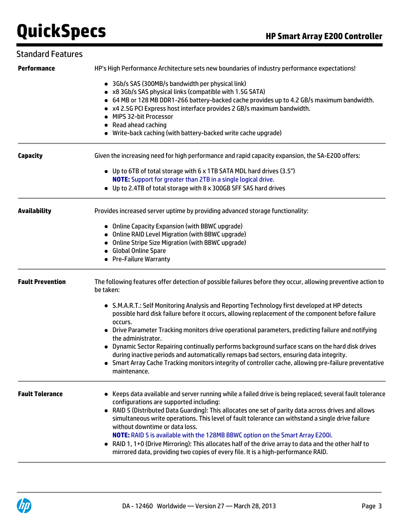### Standard Features

| <b>Performance</b>      | HP's High Performance Architecture sets new boundaries of industry performance expectations!                                                                                                                                                                                                                                                                                                                                                                                                                                                                                                                                                                                      |  |  |
|-------------------------|-----------------------------------------------------------------------------------------------------------------------------------------------------------------------------------------------------------------------------------------------------------------------------------------------------------------------------------------------------------------------------------------------------------------------------------------------------------------------------------------------------------------------------------------------------------------------------------------------------------------------------------------------------------------------------------|--|--|
|                         | • 3Gb/s SAS (300MB/s bandwidth per physical link)<br>• x8 3Gb/s SAS physical links (compatible with 1.5G SATA)<br>• 64 MB or 128 MB DDR1-266 battery-backed cache provides up to 4.2 GB/s maximum bandwidth.<br>• x4 2.5G PCI Express host interface provides 2 GB/s maximum bandwidth.<br>MIPS 32-bit Processor<br>Read ahead caching<br>• Write-back caching (with battery-backed write cache upgrade)                                                                                                                                                                                                                                                                          |  |  |
| <b>Capacity</b>         | Given the increasing need for high performance and rapid capacity expansion, the SA-E200 offers:                                                                                                                                                                                                                                                                                                                                                                                                                                                                                                                                                                                  |  |  |
|                         | • Up to 6TB of total storage with 6 x 1TB SATA MDL hard drives (3.5")<br><b>NOTE:</b> Support for greater than 2TB in a single logical drive.<br>• Up to 2.4TB of total storage with 8 x 300GB SFF SAS hard drives                                                                                                                                                                                                                                                                                                                                                                                                                                                                |  |  |
| <b>Availability</b>     | Provides increased server uptime by providing advanced storage functionality:                                                                                                                                                                                                                                                                                                                                                                                                                                                                                                                                                                                                     |  |  |
|                         | • Online Capacity Expansion (with BBWC upgrade)<br>• Online RAID Level Migration (with BBWC upgrade)<br>• Online Stripe Size Migration (with BBWC upgrade)<br>• Global Online Spare<br>• Pre-Failure Warranty                                                                                                                                                                                                                                                                                                                                                                                                                                                                     |  |  |
| <b>Fault Prevention</b> | The following features offer detection of possible failures before they occur, allowing preventive action to<br>be taken:                                                                                                                                                                                                                                                                                                                                                                                                                                                                                                                                                         |  |  |
|                         | • S.M.A.R.T.: Self Monitoring Analysis and Reporting Technology first developed at HP detects<br>possible hard disk failure before it occurs, allowing replacement of the component before failure<br>occurs.<br>• Drive Parameter Tracking monitors drive operational parameters, predicting failure and notifying<br>the administrator.<br>• Dynamic Sector Repairing continually performs background surface scans on the hard disk drives<br>during inactive periods and automatically remaps bad sectors, ensuring data integrity.<br>Smart Array Cache Tracking monitors integrity of controller cache, allowing pre-failure preventative<br>maintenance.                   |  |  |
| <b>Fault Tolerance</b>  | • Keeps data available and server running while a failed drive is being replaced; several fault tolerance<br>configurations are supported including:<br>• RAID 5 (Distributed Data Guarding): This allocates one set of parity data across drives and allows<br>simultaneous write operations. This level of fault tolerance can withstand a single drive failure<br>without downtime or data loss.<br>NOTE: RAID 5 is available with the 128MB BBWC option on the Smart Array E200i.<br>RAID 1, 1+0 (Drive Mirroring): This allocates half of the drive array to data and the other half to<br>mirrored data, providing two copies of every file. It is a high-performance RAID. |  |  |

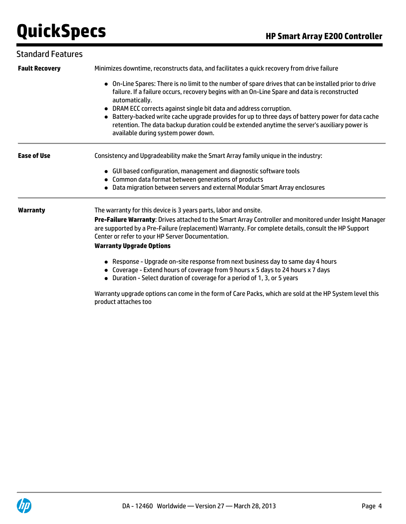### Standard Features

| <b>Fault Recovery</b> | Minimizes downtime, reconstructs data, and facilitates a quick recovery from drive failure                                                                                                                                                                                                                                                                                                                                                                                                                                                     |  |  |
|-----------------------|------------------------------------------------------------------------------------------------------------------------------------------------------------------------------------------------------------------------------------------------------------------------------------------------------------------------------------------------------------------------------------------------------------------------------------------------------------------------------------------------------------------------------------------------|--|--|
|                       | • On-Line Spares: There is no limit to the number of spare drives that can be installed prior to drive<br>failure. If a failure occurs, recovery begins with an On-Line Spare and data is reconstructed<br>automatically.<br>• DRAM ECC corrects against single bit data and address corruption.<br>• Battery-backed write cache upgrade provides for up to three days of battery power for data cache<br>retention. The data backup duration could be extended anytime the server's auxiliary power is<br>available during system power down. |  |  |
| <b>Ease of Use</b>    | Consistency and Upgradeability make the Smart Array family unique in the industry:                                                                                                                                                                                                                                                                                                                                                                                                                                                             |  |  |
|                       | • GUI based configuration, management and diagnostic software tools                                                                                                                                                                                                                                                                                                                                                                                                                                                                            |  |  |
|                       | • Common data format between generations of products<br>• Data migration between servers and external Modular Smart Array enclosures                                                                                                                                                                                                                                                                                                                                                                                                           |  |  |
| <b>Warranty</b>       | The warranty for this device is 3 years parts, labor and onsite.                                                                                                                                                                                                                                                                                                                                                                                                                                                                               |  |  |
|                       | Pre-Failure Warranty: Drives attached to the Smart Array Controller and monitored under Insight Manager                                                                                                                                                                                                                                                                                                                                                                                                                                        |  |  |
|                       | are supported by a Pre-Failure (replacement) Warranty. For complete details, consult the HP Support<br>Center or refer to your HP Server Documentation.                                                                                                                                                                                                                                                                                                                                                                                        |  |  |
|                       | <b>Warranty Upgrade Options</b>                                                                                                                                                                                                                                                                                                                                                                                                                                                                                                                |  |  |
|                       | • Response - Upgrade on-site response from next business day to same day 4 hours<br>• Coverage - Extend hours of coverage from 9 hours x 5 days to 24 hours x 7 days<br>• Duration - Select duration of coverage for a period of 1, 3, or 5 years                                                                                                                                                                                                                                                                                              |  |  |

Warranty upgrade options can come in the form of Care Packs, which are sold at the HP System level this product attaches too

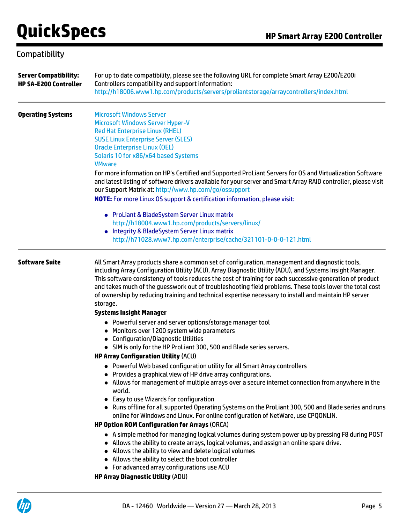# Compatibility

| <b>Server Compatibility:</b><br><b>HP SA-E200 Controller</b> | For up to date compatibility, please see the following URL for complete Smart Array E200/E200i<br>Controllers compatibility and support information:<br>http://h18006.www1.hp.com/products/servers/proliantstorage/arraycontrollers/index.html                                                                                                                                                                                                                                                                                                           |  |  |
|--------------------------------------------------------------|----------------------------------------------------------------------------------------------------------------------------------------------------------------------------------------------------------------------------------------------------------------------------------------------------------------------------------------------------------------------------------------------------------------------------------------------------------------------------------------------------------------------------------------------------------|--|--|
| <b>Operating Systems</b>                                     | <b>Microsoft Windows Server</b><br>Microsoft Windows Server Hyper-V<br><b>Red Hat Enterprise Linux (RHEL)</b><br><b>SUSE Linux Enterprise Server (SLES)</b><br><b>Oracle Enterprise Linux (OEL)</b><br>Solaris 10 for x86/x64 based Systems<br><b>VMware</b>                                                                                                                                                                                                                                                                                             |  |  |
|                                                              | For more information on HP's Certified and Supported ProLiant Servers for OS and Virtualization Software<br>and latest listing of software drivers available for your server and Smart Array RAID controller, please visit<br>our Support Matrix at: http://www.hp.com/go/ossupport                                                                                                                                                                                                                                                                      |  |  |
|                                                              | <b>NOTE:</b> For more Linux OS support & certification information, please visit:                                                                                                                                                                                                                                                                                                                                                                                                                                                                        |  |  |
|                                                              | • ProLiant & BladeSystem Server Linux matrix<br>http://h18004.www1.hp.com/products/servers/linux/<br>• Integrity & BladeSystem Server Linux matrix<br>http://h71028.www7.hp.com/enterprise/cache/321101-0-0-0-121.html                                                                                                                                                                                                                                                                                                                                   |  |  |
| <b>Software Suite</b>                                        | All Smart Array products share a common set of configuration, management and diagnostic tools,<br>including Array Configuration Utility (ACU), Array Diagnostic Utility (ADU), and Systems Insight Manager.<br>This software consistency of tools reduces the cost of training for each successive generation of product<br>and takes much of the guesswork out of troubleshooting field problems. These tools lower the total cost<br>of ownership by reducing training and technical expertise necessary to install and maintain HP server<br>storage. |  |  |
|                                                              | <b>Systems Insight Manager</b>                                                                                                                                                                                                                                                                                                                                                                                                                                                                                                                           |  |  |
|                                                              | • Powerful server and server options/storage manager tool<br>• Monitors over 1200 system wide parameters<br>• Configuration/Diagnostic Utilities                                                                                                                                                                                                                                                                                                                                                                                                         |  |  |
|                                                              | • SIM is only for the HP ProLiant 300, 500 and Blade series servers.<br><b>HP Array Configuration Utility (ACU)</b>                                                                                                                                                                                                                                                                                                                                                                                                                                      |  |  |
|                                                              | • Powerful Web based configuration utility for all Smart Array controllers<br>Provides a graphical view of HP drive array configurations.<br>• Allows for management of multiple arrays over a secure internet connection from anywhere in the<br>world.                                                                                                                                                                                                                                                                                                 |  |  |
|                                                              | • Easy to use Wizards for configuration<br>• Runs offline for all supported Operating Systems on the ProLiant 300, 500 and Blade series and runs<br>online for Windows and Linux. For online configuration of NetWare, use CPQONLIN.                                                                                                                                                                                                                                                                                                                     |  |  |
|                                                              | <b>HP Option ROM Configuration for Arrays (ORCA)</b><br>• A simple method for managing logical volumes during system power up by pressing F8 during POST<br>• Allows the ability to create arrays, logical volumes, and assign an online spare drive.<br>• Allows the ability to view and delete logical volumes<br>• Allows the ability to select the boot controller<br>• For advanced array configurations use ACU<br><b>HP Array Diagnostic Utility (ADU)</b>                                                                                        |  |  |

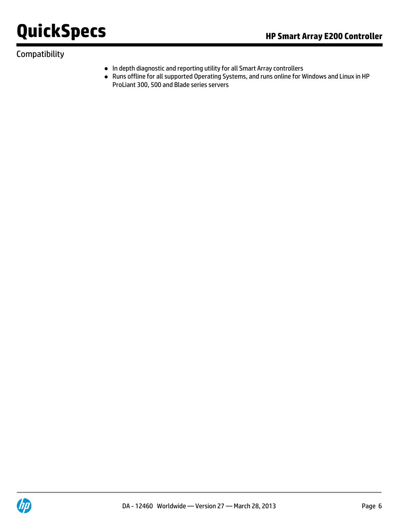# Compatibility

- In depth diagnostic and reporting utility for all Smart Array controllers
- Runs offline for all supported Operating Systems, and runs online for Windows and Linux in HP ProLiant 300, 500 and Blade series servers



DA - 12460 Worldwide - Version 27 - March 28, 2013 Page 6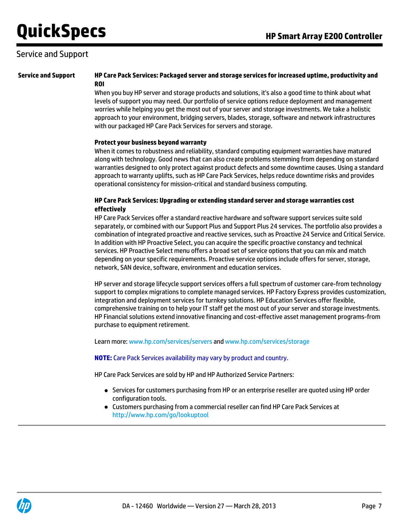# Service and Support

### **Service and Support HP Care Pack Services: Packaged server and storage services for increased uptime, productivity and ROI**

When you buy HP server and storage products and solutions, it's also a good time to think about what levels of support you may need. Our portfolio of service options reduce deployment and management worries while helping you get the most out of your server and storage investments. We take a holistic approach to your environment, bridging servers, blades, storage, software and network infrastructures with our packaged HP Care Pack Services for servers and storage.

#### **Protect your business beyond warranty**

When it comes to robustness and reliability, standard computing equipment warranties have matured along with technology. Good news that can also create problems stemming from depending on standard warranties designed to only protect against product defects and some downtime causes. Using a standard approach to warranty uplifts, such as HP Care Pack Services, helps reduce downtime risks and provides operational consistency for mission-critical and standard business computing.

### **HP Care Pack Services: Upgrading or extending standard server and storage warranties cost effectively**

HP Care Pack Services offer a standard reactive hardware and software support services suite sold separately, or combined with our Support Plus and Support Plus 24 services. The portfolio also provides a combination of integrated proactive and reactive services, such as Proactive 24 Service and Critical Service. In addition with HP Proactive Select, you can acquire the specific proactive constancy and technical services. HP Proactive Select menu offers a broad set of service options that you can mix and match depending on your specific requirements. Proactive service options include offers for server, storage, network, SAN device, software, environment and education services.

HP server and storage lifecycle support services offers a full spectrum of customer care-from technology support to complex migrations to complete managed services. HP Factory Express provides customization, integration and deployment services for turnkey solutions. HP Education Services offer flexible, comprehensive training on to help your IT staff get the most out of your server and storage investments. HP Financial solutions extend innovative financing and cost-effective asset management programs-from purchase to equipment retirement.

Learn more: [www.hp.com/services/servers](http://www.hp.com/services/servers) and [www.hp.com/services/storage](http://www.hp.com/services/storage)

#### **NOTE:** Care Pack Services availability may vary by product and country.

HP Care Pack Services are sold by HP and HP Authorized Service Partners:

- Services for customers purchasing from HP or an enterprise reseller are quoted using HP order configuration tools.
- Customers purchasing from a commercial reseller can find HP Care Pack Services at <http://www.hp.com/go/lookuptool>

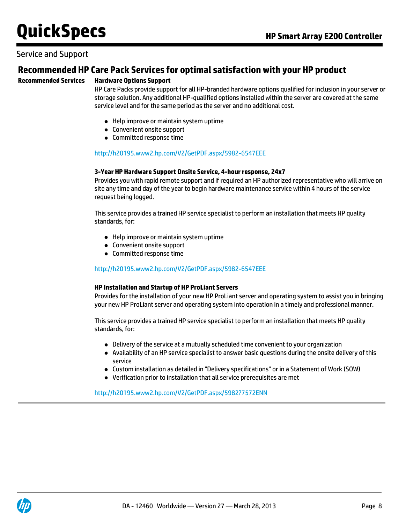### Service and Support

### **Recommended HP Care Pack Services for optimal satisfaction with your HP product**

### **Recommended Services Hardware Options Support**

HP Care Packs provide support for all HP-branded hardware options qualified for inclusion in your server or storage solution. Any additional HP-qualified options installed within the server are covered at the same service level and for the same period as the server and no additional cost.

- Help improve or maintain system uptime
- Convenient onsite support
- Committed response time

#### <http://h20195.www2.hp.com/V2/GetPDF.aspx/5982-6547EEE>

#### **3-Year HP Hardware Support Onsite Service, 4-hour response, 24x7**

Provides you with rapid remote support and if required an HP authorized representative who will arrive on site any time and day of the year to begin hardware maintenance service within 4 hours of the service request being logged.

This service provides a trained HP service specialist to perform an installation that meets HP quality standards, for:

- Help improve or maintain system uptime
- Convenient onsite support
- Committed response time

#### <http://h20195.www2.hp.com/V2/GetPDF.aspx/5982-6547EEE>

#### **HP Installation and Startup of HP ProLiant Servers**

Provides for the installation of your new HP ProLiant server and operating system to assist you in bringing your new HP ProLiant server and operating system into operation in a timely and professional manner.

This service provides a trained HP service specialist to perform an installation that meets HP quality standards, for:

- Delivery of the service at a mutually scheduled time convenient to your organization
- Availability of an HP service specialist to answer basic questions during the onsite delivery of this service
- Custom installation as detailed in "Delivery specifications" or in a Statement of Work (SOW)
- Verification prior to installation that all service prerequisites are met

<http://h20195.www2.hp.com/V2/GetPDF.aspx/5982?7572ENN>

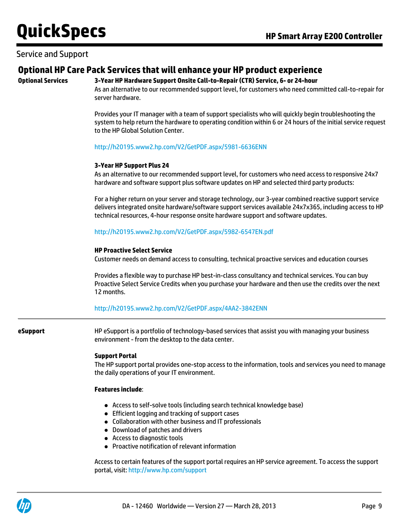### Service and Support

### **Optional HP Care Pack Services that will enhance your HP product experience**

### **Optional Services 3-Year HP Hardware Support Onsite Call-to-Repair (CTR) Service, 6- or 24-hour**

As an alternative to our recommended support level, for customers who need committed call-to-repair for server hardware.

Provides your IT manager with a team of support specialists who will quickly begin troubleshooting the system to help return the hardware to operating condition within 6 or 24 hours of the initial service request to the HP Global Solution Center.

<http://h20195.www2.hp.com/V2/GetPDF.aspx/5981-6636ENN>

#### **3-Year HP Support Plus 24**

As an alternative to our recommended support level, for customers who need access to responsive 24x7 hardware and software support plus software updates on HP and selected third party products:

For a higher return on your server and storage technology, our 3-year combined reactive support service delivers integrated onsite hardware/software support services available 24x7x365, including access to HP technical resources, 4-hour response onsite hardware support and software updates.

<http://h20195.www2.hp.com/V2/GetPDF.aspx/5982-6547EN.pdf>

#### **HP Proactive Select Service**

Customer needs on demand access to consulting, technical proactive services and education courses

Provides a flexible way to purchase HP best-in-class consultancy and technical services. You can buy Proactive Select Service Credits when you purchase your hardware and then use the credits over the next 12 months.

<http://h20195.www2.hp.com/V2/GetPDF.aspx/4AA2-3842ENN>

**eSupport** HP eSupport is a portfolio of technology-based services that assist you with managing your business environment - from the desktop to the data center.

#### **Support Portal**

The HP support portal provides one-stop access to the information, tools and services you need to manage the daily operations of your IT environment.

#### **Features include**:

- Access to self-solve tools (including search technical knowledge base)
- Efficient logging and tracking of support cases
- Collaboration with other business and IT professionals
- Download of patches and drivers
- Access to diagnostic tools
- Proactive notification of relevant information

Access to certain features of the support portal requires an HP service agreement. To access the support portal, visit: <http://www.hp.com/support>

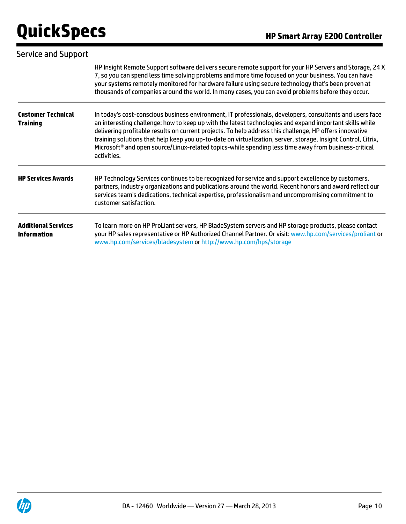| <b>Service and Support</b>                       |                                                                                                                                                                                                                                                                                                                                                                                                                                                                                                                                                                                    |  |  |
|--------------------------------------------------|------------------------------------------------------------------------------------------------------------------------------------------------------------------------------------------------------------------------------------------------------------------------------------------------------------------------------------------------------------------------------------------------------------------------------------------------------------------------------------------------------------------------------------------------------------------------------------|--|--|
|                                                  | HP Insight Remote Support software delivers secure remote support for your HP Servers and Storage, 24 X<br>7, so you can spend less time solving problems and more time focused on your business. You can have<br>your systems remotely monitored for hardware failure using secure technology that's been proven at<br>thousands of companies around the world. In many cases, you can avoid problems before they occur.                                                                                                                                                          |  |  |
| <b>Customer Technical</b><br><b>Training</b>     | In today's cost-conscious business environment, IT professionals, developers, consultants and users face<br>an interesting challenge: how to keep up with the latest technologies and expand important skills while<br>delivering profitable results on current projects. To help address this challenge, HP offers innovative<br>training solutions that help keep you up-to-date on virtualization, server, storage, Insight Control, Citrix,<br>Microsoft <sup>®</sup> and open source/Linux-related topics-while spending less time away from business-critical<br>activities. |  |  |
| <b>HP Services Awards</b>                        | HP Technology Services continues to be recognized for service and support excellence by customers,<br>partners, industry organizations and publications around the world. Recent honors and award reflect our<br>services team's dedications, technical expertise, professionalism and uncompromising commitment to<br>customer satisfaction.                                                                                                                                                                                                                                      |  |  |
| <b>Additional Services</b><br><b>Information</b> | To learn more on HP ProLiant servers, HP BladeSystem servers and HP storage products, please contact<br>your HP sales representative or HP Authorized Channel Partner. Or visit: www.hp.com/services/proliant or<br>www.hp.com/services/bladesystem or http://www.hp.com/hps/storage                                                                                                                                                                                                                                                                                               |  |  |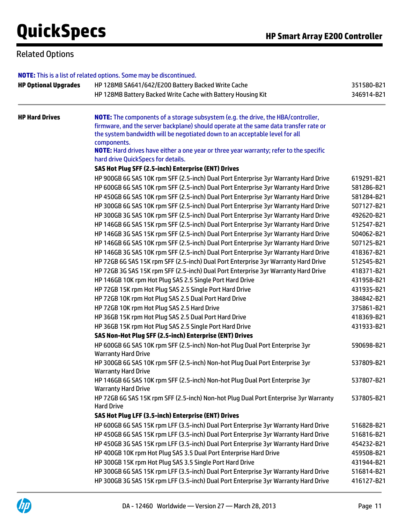### Related Options

|                             | <b>NOTE:</b> This is a list of related options. Some may be discontinued.                                                                                                                                                                                                     |            |  |
|-----------------------------|-------------------------------------------------------------------------------------------------------------------------------------------------------------------------------------------------------------------------------------------------------------------------------|------------|--|
| <b>HP Optional Upgrades</b> | HP 128MB SA641/642/E200 Battery Backed Write Cache                                                                                                                                                                                                                            |            |  |
|                             | HP 128MB Battery Backed Write Cache with Battery Housing Kit                                                                                                                                                                                                                  | 346914-B21 |  |
| <b>HP Hard Drives</b>       | <b>NOTE:</b> The components of a storage subsystem (e.g. the drive, the HBA/controller,<br>firmware, and the server backplane) should operate at the same data transfer rate or<br>the system bandwidth will be negotiated down to an acceptable level for all<br>components. |            |  |
|                             | <b>NOTE:</b> Hard drives have either a one year or three year warranty; refer to the specific<br>hard drive QuickSpecs for details.                                                                                                                                           |            |  |
|                             | SAS Hot Plug SFF (2.5-inch) Enterprise (ENT) Drives                                                                                                                                                                                                                           |            |  |
|                             | HP 900GB 6G SAS 10K rpm SFF (2.5-inch) Dual Port Enterprise 3yr Warranty Hard Drive                                                                                                                                                                                           | 619291-B21 |  |
|                             | HP 600GB 6G SAS 10K rpm SFF (2.5-inch) Dual Port Enterprise 3yr Warranty Hard Drive                                                                                                                                                                                           | 581286-B21 |  |
|                             | HP 450GB 6G SAS 10K rpm SFF (2.5-inch) Dual Port Enterprise 3yr Warranty Hard Drive                                                                                                                                                                                           | 581284-B21 |  |
|                             | HP 300GB 6G SAS 10K rpm SFF (2.5-inch) Dual Port Enterprise 3yr Warranty Hard Drive                                                                                                                                                                                           | 507127-B21 |  |
|                             | HP 300GB 3G SAS 10K rpm SFF (2.5-inch) Dual Port Enterprise 3yr Warranty Hard Drive                                                                                                                                                                                           | 492620-B21 |  |
|                             | HP 146GB 6G SAS 15K rpm SFF (2.5-inch) Dual Port Enterprise 3yr Warranty Hard Drive                                                                                                                                                                                           | 512547-B21 |  |
|                             | HP 146GB 3G SAS 15K rpm SFF (2.5-inch) Dual Port Enterprise 3yr Warranty Hard Drive                                                                                                                                                                                           | 504062-B21 |  |
|                             | HP 146GB 6G SAS 10K rpm SFF (2.5-inch) Dual Port Enterprise 3yr Warranty Hard Drive                                                                                                                                                                                           | 507125-B21 |  |
|                             | HP 146GB 3G SAS 10K rpm SFF (2.5-inch) Dual Port Enterprise 3yr Warranty Hard Drive                                                                                                                                                                                           | 418367-B21 |  |
|                             | HP 72GB 6G SAS 15K rpm SFF (2.5-inch) Dual Port Enterprise 3yr Warranty Hard Drive                                                                                                                                                                                            | 512545-B21 |  |
|                             | HP 72GB 3G SAS 15K rpm SFF (2.5-inch) Dual Port Enterprise 3yr Warranty Hard Drive                                                                                                                                                                                            | 418371-B21 |  |
|                             | HP 146GB 10K rpm Hot Plug SAS 2.5 Single Port Hard Drive                                                                                                                                                                                                                      | 431958-B21 |  |
|                             | HP 72GB 15K rpm Hot Plug SAS 2.5 Single Port Hard Drive                                                                                                                                                                                                                       | 431935-B21 |  |
|                             | HP 72GB 10K rpm Hot Plug SAS 2.5 Dual Port Hard Drive                                                                                                                                                                                                                         | 384842-B21 |  |
|                             | HP 72GB 10K rpm Hot Plug SAS 2.5 Hard Drive                                                                                                                                                                                                                                   | 375861-B21 |  |
|                             | HP 36GB 15K rpm Hot Plug SAS 2.5 Dual Port Hard Drive                                                                                                                                                                                                                         | 418369-B21 |  |
|                             | HP 36GB 15K rpm Hot Plug SAS 2.5 Single Port Hard Drive                                                                                                                                                                                                                       | 431933-B21 |  |
|                             | SAS Non-Hot Plug SFF (2.5-inch) Enterprise (ENT) Drives                                                                                                                                                                                                                       |            |  |
|                             | HP 600GB 6G SAS 10K rpm SFF (2.5-inch) Non-hot Plug Dual Port Enterprise 3yr<br><b>Warranty Hard Drive</b>                                                                                                                                                                    | 590698-B21 |  |
|                             | HP 300GB 6G SAS 10K rpm SFF (2.5-inch) Non-hot Plug Dual Port Enterprise 3yr<br><b>Warranty Hard Drive</b>                                                                                                                                                                    | 537809-B21 |  |
|                             | HP 146GB 6G SAS 10K rpm SFF (2.5-inch) Non-hot Plug Dual Port Enterprise 3yr<br><b>Warranty Hard Drive</b>                                                                                                                                                                    | 537807-B21 |  |
|                             | HP 72GB 6G SAS 15K rpm SFF (2.5-inch) Non-hot Plug Dual Port Enterprise 3yr Warranty<br><b>Hard Drive</b>                                                                                                                                                                     | 537805-B21 |  |
|                             | SAS Hot Plug LFF (3.5-inch) Enterprise (ENT) Drives                                                                                                                                                                                                                           |            |  |
|                             | HP 600GB 6G SAS 15K rpm LFF (3.5-inch) Dual Port Enterprise 3yr Warranty Hard Drive                                                                                                                                                                                           | 516828-B21 |  |
|                             | HP 450GB 6G SAS 15K rpm LFF (3.5-inch) Dual Port Enterprise 3yr Warranty Hard Drive                                                                                                                                                                                           | 516816-B21 |  |
|                             | HP 450GB 3G SAS 15K rpm LFF (3.5-inch) Dual Port Enterprise 3yr Warranty Hard Drive                                                                                                                                                                                           | 454232-B21 |  |
|                             | HP 400GB 10K rpm Hot Plug SAS 3.5 Dual Port Enterprise Hard Drive                                                                                                                                                                                                             | 459508-B21 |  |
|                             | HP 300GB 15K rpm Hot Plug SAS 3.5 Single Port Hard Drive                                                                                                                                                                                                                      | 431944-B21 |  |
|                             | HP 300GB 6G SAS 15K rpm LFF (3.5-inch) Dual Port Enterprise 3yr Warranty Hard Drive                                                                                                                                                                                           | 516814-B21 |  |
|                             | HP 300GB 3G SAS 15K rpm LFF (3.5-inch) Dual Port Enterprise 3yr Warranty Hard Drive                                                                                                                                                                                           | 416127-B21 |  |

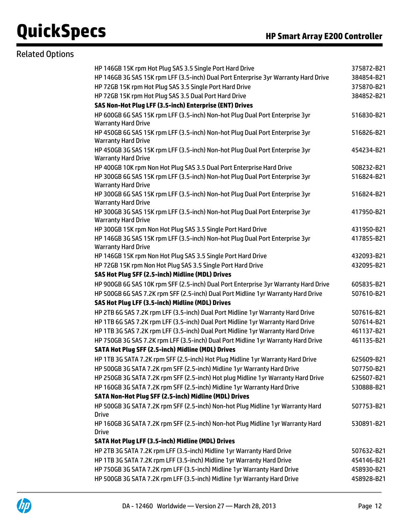# Related Options

| HP 146GB 15K rpm Hot Plug SAS 3.5 Single Port Hard Drive                                        | 375872-B21 |
|-------------------------------------------------------------------------------------------------|------------|
| HP 146GB 3G SAS 15K rpm LFF (3.5-inch) Dual Port Enterprise 3yr Warranty Hard Drive             | 384854-B21 |
| HP 72GB 15K rpm Hot Plug SAS 3.5 Single Port Hard Drive                                         | 375870-B21 |
| HP 72GB 15K rpm Hot Plug SAS 3.5 Dual Port Hard Drive                                           | 384852-B21 |
| SAS Non-Hot Plug LFF (3.5-inch) Enterprise (ENT) Drives                                         |            |
| HP 600GB 6G SAS 15K rpm LFF (3.5-inch) Non-hot Plug Dual Port Enterprise 3yr                    | 516830-B21 |
| <b>Warranty Hard Drive</b>                                                                      |            |
| HP 450GB 6G SAS 15K rpm LFF (3.5-inch) Non-hot Plug Dual Port Enterprise 3yr                    | 516826-B21 |
| <b>Warranty Hard Drive</b>                                                                      |            |
| HP 450GB 3G SAS 15K rpm LFF (3.5-inch) Non-hot Plug Dual Port Enterprise 3yr                    | 454234-B21 |
| <b>Warranty Hard Drive</b>                                                                      |            |
| HP 400GB 10K rpm Non Hot Plug SAS 3.5 Dual Port Enterprise Hard Drive                           | 508232-B21 |
| HP 300GB 6G SAS 15K rpm LFF (3.5-inch) Non-hot Plug Dual Port Enterprise 3yr                    | 516824-B21 |
| <b>Warranty Hard Drive</b>                                                                      |            |
| HP 300GB 6G SAS 15K rpm LFF (3.5-inch) Non-hot Plug Dual Port Enterprise 3yr                    | 516824-B21 |
| <b>Warranty Hard Drive</b>                                                                      |            |
| HP 300GB 3G SAS 15K rpm LFF (3.5-inch) Non-hot Plug Dual Port Enterprise 3yr                    | 417950-B21 |
| <b>Warranty Hard Drive</b>                                                                      |            |
| HP 300GB 15K rpm Non Hot Plug SAS 3.5 Single Port Hard Drive                                    | 431950-B21 |
| HP 146GB 3G SAS 15K rpm LFF (3.5-inch) Non-hot Plug Dual Port Enterprise 3yr                    | 417855-B21 |
| <b>Warranty Hard Drive</b>                                                                      |            |
| HP 146GB 15K rpm Non Hot Plug SAS 3.5 Single Port Hard Drive                                    | 432093-B21 |
| HP 72GB 15K rpm Non Hot Plug SAS 3.5 Single Port Hard Drive                                     | 432095-B21 |
| SAS Hot Plug SFF (2.5-inch) Midline (MDL) Drives                                                |            |
| HP 900GB 6G SAS 10K rpm SFF (2.5-inch) Dual Port Enterprise 3yr Warranty Hard Drive             | 605835-B21 |
| HP 500GB 6G SAS 7.2K rpm SFF (2.5-inch) Dual Port Midline 1yr Warranty Hard Drive               | 507610-B21 |
| SAS Hot Plug LFF (3.5-inch) Midline (MDL) Drives                                                |            |
| HP 2TB 6G SAS 7.2K rpm LFF (3.5-inch) Dual Port Midline 1yr Warranty Hard Drive                 | 507616-B21 |
| HP 1TB 6G SAS 7.2K rpm LFF (3.5-inch) Dual Port Midline 1yr Warranty Hard Drive                 | 507614-B21 |
| HP 1TB 3G SAS 7.2K rpm LFF (3.5-inch) Dual Port Midline 1yr Warranty Hard Drive                 | 461137-B21 |
| HP 750GB 3G SAS 7.2K rpm LFF (3.5-inch) Dual Port Midline 1yr Warranty Hard Drive               | 461135-B21 |
| SATA Hot Plug SFF (2.5-inch) Midline (MDL) Drives                                               |            |
| HP 1TB 3G SATA 7.2K rpm SFF (2.5-inch) Hot Plug Midline 1yr Warranty Hard Drive                 | 625609-B21 |
| HP 500GB 3G SATA 7.2K rpm SFF (2.5-inch) Midline 1yr Warranty Hard Drive                        | 507750-B21 |
| HP 250GB 3G SATA 7.2K rpm SFF (2.5-inch) Hot plug Midline 1yr Warranty Hard Drive               | 625607-B21 |
| HP 160GB 3G SATA 7.2K rpm SFF (2.5-inch) Midline 1yr Warranty Hard Drive                        | 530888-B21 |
| SATA Non-Hot Plug SFF (2.5-inch) Midline (MDL) Drives                                           |            |
| HP 500GB 3G SATA 7.2K rpm SFF (2.5-inch) Non-hot Plug Midline 1yr Warranty Hard                 | 507753-B21 |
| <b>Drive</b>                                                                                    |            |
| HP 160GB 3G SATA 7.2K rpm SFF (2.5-inch) Non-hot Plug Midline 1yr Warranty Hard<br><b>Drive</b> | 530891-B21 |
| SATA Hot Plug LFF (3.5-inch) Midline (MDL) Drives                                               |            |
| HP 2TB 3G SATA 7.2K rpm LFF (3.5-inch) Midline 1yr Warranty Hard Drive                          |            |
| HP 1TB 3G SATA 7.2K rpm LFF (3.5-inch) Midline 1yr Warranty Hard Drive                          | 507632-B21 |
|                                                                                                 | 454146-B21 |
| HP 750GB 3G SATA 7.2K rpm LFF (3.5-inch) Midline 1yr Warranty Hard Drive                        | 458930-B21 |
| HP 500GB 3G SATA 7.2K rpm LFF (3.5-inch) Midline 1yr Warranty Hard Drive                        | 458928-B21 |

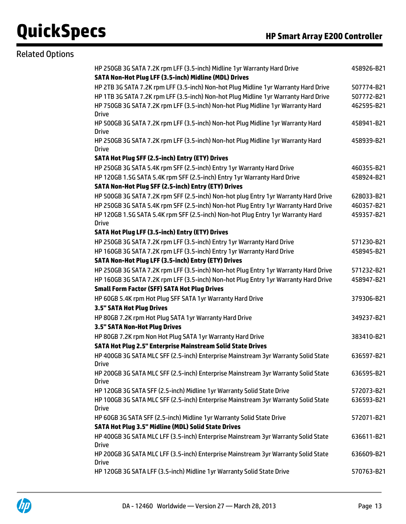| <b>Related Options</b> |                                                                                                    |            |
|------------------------|----------------------------------------------------------------------------------------------------|------------|
|                        | HP 250GB 3G SATA 7.2K rpm LFF (3.5-inch) Midline 1yr Warranty Hard Drive                           | 458926-B21 |
|                        | SATA Non-Hot Plug LFF (3.5-inch) Midline (MDL) Drives                                              |            |
|                        | HP 2TB 3G SATA 7.2K rpm LFF (3.5-inch) Non-hot Plug Midline 1yr Warranty Hard Drive                | 507774-B21 |
|                        | HP 1TB 3G SATA 7.2K rpm LFF (3.5-inch) Non-hot Plug Midline 1yr Warranty Hard Drive                | 507772-B21 |
|                        | HP 750GB 3G SATA 7.2K rpm LFF (3.5-inch) Non-hot Plug Midline 1yr Warranty Hard<br><b>Drive</b>    | 462595-B21 |
|                        | HP 500GB 3G SATA 7.2K rpm LFF (3.5-inch) Non-hot Plug Midline 1yr Warranty Hard<br><b>Drive</b>    | 458941-B21 |
|                        | HP 250GB 3G SATA 7.2K rpm LFF (3.5-inch) Non-hot Plug Midline 1yr Warranty Hard<br><b>Drive</b>    | 458939-B21 |
|                        | SATA Hot Plug SFF (2.5-inch) Entry (ETY) Drives                                                    |            |
|                        | HP 250GB 3G SATA 5.4K rpm SFF (2.5-inch) Entry 1yr Warranty Hard Drive                             | 460355-B21 |
|                        | HP 120GB 1.5G SATA 5.4K rpm SFF (2.5-inch) Entry 1yr Warranty Hard Drive                           | 458924-B21 |
|                        | SATA Non-Hot Plug SFF (2.5-inch) Entry (ETY) Drives                                                |            |
|                        | HP 500GB 3G SATA 7.2K rpm SFF (2.5-inch) Non-hot plug Entry 1yr Warranty Hard Drive                | 628033-B21 |
|                        | HP 250GB 3G SATA 5.4K rpm SFF (2.5-inch) Non-hot Plug Entry 1yr Warranty Hard Drive                | 460357-B21 |
|                        | HP 120GB 1.5G SATA 5.4K rpm SFF (2.5-inch) Non-hot Plug Entry 1yr Warranty Hard<br><b>Drive</b>    | 459357-B21 |
|                        | SATA Hot Plug LFF (3.5-inch) Entry (ETY) Drives                                                    |            |
|                        | HP 250GB 3G SATA 7.2K rpm LFF (3.5-inch) Entry 1yr Warranty Hard Drive                             | 571230-B21 |
|                        | HP 160GB 3G SATA 7.2K rpm LFF (3.5-inch) Entry 1yr Warranty Hard Drive                             | 458945-B21 |
|                        | SATA Non-Hot Plug LFF (3.5-inch) Entry (ETY) Drives                                                |            |
|                        | HP 250GB 3G SATA 7.2K rpm LFF (3.5-inch) Non-hot Plug Entry 1yr Warranty Hard Drive                | 571232-B21 |
|                        | HP 160GB 3G SATA 7.2K rpm LFF (3.5-inch) Non-hot Plug Entry 1yr Warranty Hard Drive                | 458947-B21 |
|                        | <b>Small Form Factor (SFF) SATA Hot Plug Drives</b>                                                |            |
|                        | HP 60GB 5.4K rpm Hot Plug SFF SATA 1yr Warranty Hard Drive                                         | 379306-B21 |
|                        | 3.5" SATA Hot Plug Drives                                                                          |            |
|                        | HP 80GB 7.2K rpm Hot Plug SATA 1yr Warranty Hard Drive                                             | 349237-B21 |
|                        | 3.5" SATA Non-Hot Plug Drives                                                                      |            |
|                        | HP 80GB 7.2K rpm Non Hot Plug SATA 1yr Warranty Hard Drive                                         | 383410-B21 |
|                        | SATA Hot Plug 2.5" Enterprise Mainstream Solid State Drives                                        |            |
|                        | HP 400GB 3G SATA MLC SFF (2.5-inch) Enterprise Mainstream 3yr Warranty Solid State<br><b>Drive</b> | 636597-B21 |
|                        | HP 200GB 3G SATA MLC SFF (2.5-inch) Enterprise Mainstream 3yr Warranty Solid State<br><b>Drive</b> | 636595-B21 |
|                        | HP 120GB 3G SATA SFF (2.5-inch) Midline 1yr Warranty Solid State Drive                             | 572073-B21 |
|                        | HP 100GB 3G SATA MLC SFF (2.5-inch) Enterprise Mainstream 3yr Warranty Solid State<br><b>Drive</b> | 636593-B21 |
|                        | HP 60GB 3G SATA SFF (2.5-inch) Midline 1yr Warranty Solid State Drive                              | 572071-B21 |
|                        | <b>SATA Hot Plug 3.5" Midline (MDL) Solid State Drives</b>                                         |            |
|                        | HP 400GB 3G SATA MLC LFF (3.5-inch) Enterprise Mainstream 3yr Warranty Solid State<br><b>Drive</b> | 636611-B21 |
|                        | HP 200GB 3G SATA MLC LFF (3.5-inch) Enterprise Mainstream 3yr Warranty Solid State<br><b>Drive</b> | 636609-B21 |
|                        | HP 120GB 3G SATA LFF (3.5-inch) Midline 1yr Warranty Solid State Drive                             | 570763-B21 |

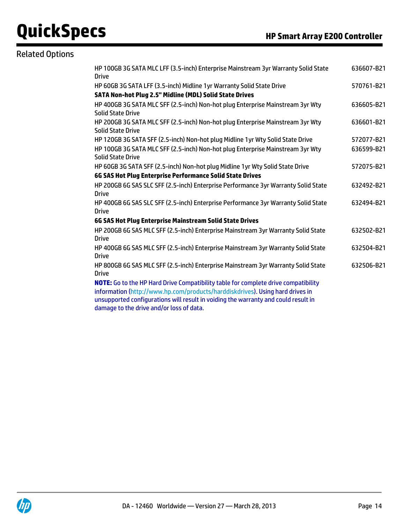# Related Options

| HP 100GB 3G SATA MLC LFF (3.5-inch) Enterprise Mainstream 3yr Warranty Solid State<br><b>Drive</b>                                                                                                                                                                                                    | 636607-B21 |
|-------------------------------------------------------------------------------------------------------------------------------------------------------------------------------------------------------------------------------------------------------------------------------------------------------|------------|
| HP 60GB 3G SATA LFF (3.5-inch) Midline 1yr Warranty Solid State Drive                                                                                                                                                                                                                                 | 570761-B21 |
| SATA Non-hot Plug 2.5" Midline (MDL) Solid State Drives                                                                                                                                                                                                                                               |            |
| HP 400GB 3G SATA MLC SFF (2.5-inch) Non-hot plug Enterprise Mainstream 3yr Wty<br><b>Solid State Drive</b>                                                                                                                                                                                            | 636605-B21 |
| HP 200GB 3G SATA MLC SFF (2.5-inch) Non-hot plug Enterprise Mainstream 3yr Wty<br><b>Solid State Drive</b>                                                                                                                                                                                            | 636601-B21 |
| HP 120GB 3G SATA SFF (2.5-inch) Non-hot plug Midline 1yr Wty Solid State Drive                                                                                                                                                                                                                        | 572077-B21 |
| HP 100GB 3G SATA MLC SFF (2.5-inch) Non-hot plug Enterprise Mainstream 3yr Wty<br><b>Solid State Drive</b>                                                                                                                                                                                            | 636599-B21 |
| HP 60GB 3G SATA SFF (2.5-inch) Non-hot plug Midline 1yr Wty Solid State Drive                                                                                                                                                                                                                         | 572075-B21 |
| 6G SAS Hot Plug Enterprise Performance Solid State Drives                                                                                                                                                                                                                                             |            |
| HP 200GB 6G SAS SLC SFF (2.5-inch) Enterprise Performance 3yr Warranty Solid State<br><b>Drive</b>                                                                                                                                                                                                    | 632492-B21 |
| HP 400GB 6G SAS SLC SFF (2.5-inch) Enterprise Performance 3yr Warranty Solid State<br><b>Drive</b>                                                                                                                                                                                                    | 632494-B21 |
| 6G SAS Hot Plug Enterprise Mainstream Solid State Drives                                                                                                                                                                                                                                              |            |
| HP 200GB 6G SAS MLC SFF (2.5-inch) Enterprise Mainstream 3yr Warranty Solid State<br><b>Drive</b>                                                                                                                                                                                                     | 632502-B21 |
| HP 400GB 6G SAS MLC SFF (2.5-inch) Enterprise Mainstream 3yr Warranty Solid State<br><b>Drive</b>                                                                                                                                                                                                     | 632504-B21 |
| HP 800GB 6G SAS MLC SFF (2.5-inch) Enterprise Mainstream 3yr Warranty Solid State<br><b>Drive</b>                                                                                                                                                                                                     | 632506-B21 |
| NOTE: Go to the HP Hard Drive Compatibility table for complete drive compatibility<br>information (http://www.hp.com/products/harddiskdrives). Using hard drives in<br>unsupported configurations will result in voiding the warranty and could result in<br>damage to the drive and/or loss of data. |            |